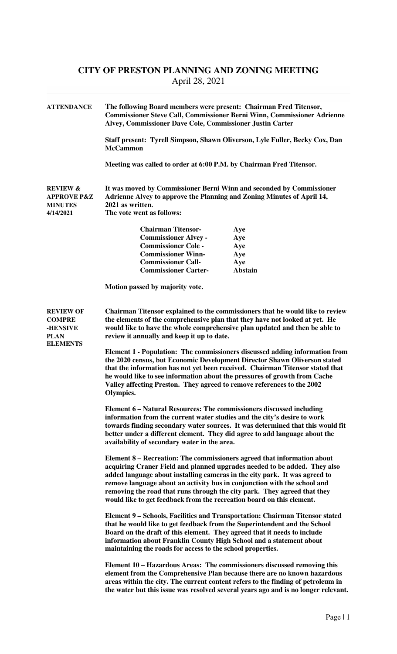## **CITY OF PRESTON PLANNING AND ZONING MEETING**  April 28, 2021

| <b>ATTENDANCE</b>                                                                      | The following Board members were present: Chairman Fred Titensor,<br><b>Commissioner Steve Call, Commissioner Berni Winn, Commissioner Adrienne</b><br>Alvey, Commissioner Dave Cole, Commissioner Justin Carter<br>Staff present: Tyrell Simpson, Shawn Oliverson, Lyle Fuller, Becky Cox, Dan<br><b>McCammon</b><br>Meeting was called to order at 6:00 P.M. by Chairman Fred Titensor.                                                                                                                                                                                                                                                                                                                         |                |  |
|----------------------------------------------------------------------------------------|-------------------------------------------------------------------------------------------------------------------------------------------------------------------------------------------------------------------------------------------------------------------------------------------------------------------------------------------------------------------------------------------------------------------------------------------------------------------------------------------------------------------------------------------------------------------------------------------------------------------------------------------------------------------------------------------------------------------|----------------|--|
|                                                                                        |                                                                                                                                                                                                                                                                                                                                                                                                                                                                                                                                                                                                                                                                                                                   |                |  |
|                                                                                        |                                                                                                                                                                                                                                                                                                                                                                                                                                                                                                                                                                                                                                                                                                                   |                |  |
| <b>REVIEW &amp;</b><br><b>APPROVE P&amp;Z</b><br><b>MINUTES</b><br>4/14/2021           | It was moved by Commissioner Berni Winn and seconded by Commissioner<br>Adrienne Alvey to approve the Planning and Zoning Minutes of April 14,<br>2021 as written.<br>The vote went as follows:                                                                                                                                                                                                                                                                                                                                                                                                                                                                                                                   |                |  |
|                                                                                        | <b>Chairman Titensor-</b>                                                                                                                                                                                                                                                                                                                                                                                                                                                                                                                                                                                                                                                                                         | Aye            |  |
|                                                                                        | <b>Commissioner Alvey -</b>                                                                                                                                                                                                                                                                                                                                                                                                                                                                                                                                                                                                                                                                                       | Aye            |  |
|                                                                                        | <b>Commissioner Cole -</b>                                                                                                                                                                                                                                                                                                                                                                                                                                                                                                                                                                                                                                                                                        | Aye            |  |
|                                                                                        | <b>Commissioner Winn-</b>                                                                                                                                                                                                                                                                                                                                                                                                                                                                                                                                                                                                                                                                                         | Aye            |  |
|                                                                                        | <b>Commissioner Call-</b>                                                                                                                                                                                                                                                                                                                                                                                                                                                                                                                                                                                                                                                                                         | Aye            |  |
|                                                                                        | <b>Commissioner Carter-</b>                                                                                                                                                                                                                                                                                                                                                                                                                                                                                                                                                                                                                                                                                       | <b>Abstain</b> |  |
|                                                                                        | Motion passed by majority vote.                                                                                                                                                                                                                                                                                                                                                                                                                                                                                                                                                                                                                                                                                   |                |  |
| <b>REVIEW OF</b><br><b>COMPRE</b><br><b>-HENSIVE</b><br><b>PLAN</b><br><b>ELEMENTS</b> | <b>Chairman Titensor explained to the commissioners that he would like to review</b><br>the elements of the comprehensive plan that they have not looked at yet. He<br>would like to have the whole comprehensive plan updated and then be able to<br>review it annually and keep it up to date.<br>Element 1 - Population: The commissioners discussed adding information from<br>the 2020 census, but Economic Development Director Shawn Oliverson stated<br>that the information has not yet been received. Chairman Titensor stated that<br>he would like to see information about the pressures of growth from Cache<br>Valley affecting Preston. They agreed to remove references to the 2002<br>Olympics. |                |  |
|                                                                                        | Element 6 – Natural Resources: The commissioners discussed including<br>information from the current water studies and the city's desire to work<br>towards finding secondary water sources. It was determined that this would fit<br>better under a different element. They did agree to add language about the<br>availability of secondary water in the area.                                                                                                                                                                                                                                                                                                                                                  |                |  |
|                                                                                        | Element 8 – Recreation: The commissioners agreed that information about<br>acquiring Craner Field and planned upgrades needed to be added. They also<br>added language about installing cameras in the city park. It was agreed to<br>remove language about an activity bus in conjunction with the school and<br>removing the road that runs through the city park. They agreed that they<br>would like to get feedback from the recreation board on this element.                                                                                                                                                                                                                                               |                |  |
|                                                                                        | Element 9 – Schools, Facilities and Transportation: Chairman Titensor stated<br>that he would like to get feedback from the Superintendent and the School<br>Board on the draft of this element. They agreed that it needs to include<br>information about Franklin County High School and a statement about<br>maintaining the roads for access to the school properties.                                                                                                                                                                                                                                                                                                                                        |                |  |
|                                                                                        | Element 10 - Hazardous Areas: The commissioners discussed removing this<br>element from the Comprehensive Plan because there are no known hazardous<br>areas within the city. The current content refers to the finding of petroleum in<br>the water but this issue was resolved several years ago and is no longer relevant.                                                                                                                                                                                                                                                                                                                                                                                     |                |  |